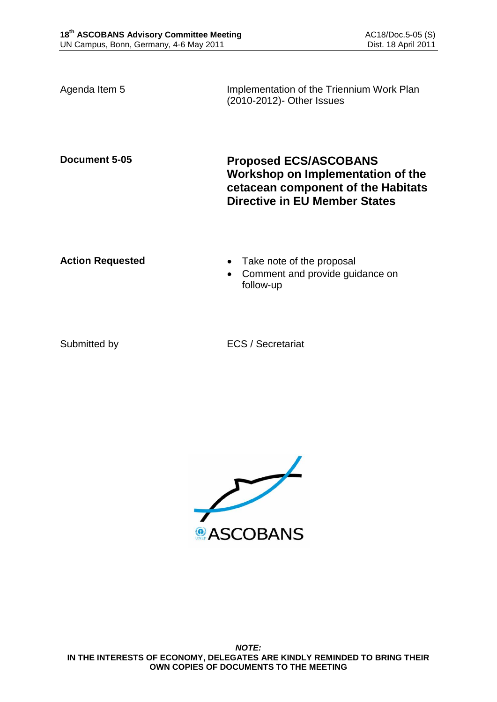Agenda Item 5 **Implementation of the Triennium Work Plan** (2010-2012)- Other Issues

**Document 5-05 Proposed ECS/ASCOBANS Workshop on Implementation of the cetacean component of the Habitats Directive in EU Member States**

- **Action Requested Take note of the proposal** 
	- Comment and provide guidance on follow-up

Submitted by ECS / Secretariat